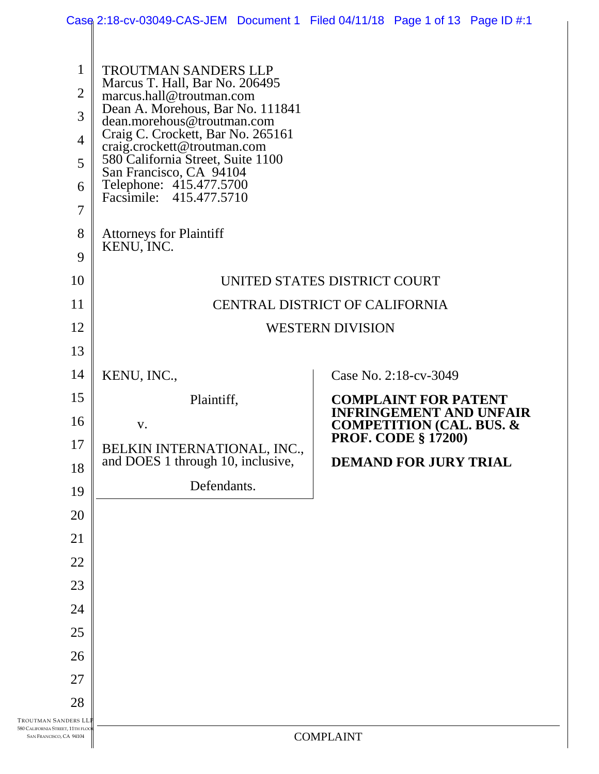|                                                                                    | Case 2:18-cv-03049-CAS-JEM Document 1 Filed 04/11/18 Page 1 of 13 Page ID #:1                                                                                                                                                                                                                                                                         |                                                                       |
|------------------------------------------------------------------------------------|-------------------------------------------------------------------------------------------------------------------------------------------------------------------------------------------------------------------------------------------------------------------------------------------------------------------------------------------------------|-----------------------------------------------------------------------|
| 1<br>$\overline{2}$<br>3<br>$\overline{4}$<br>5<br>6<br>$\overline{7}$             | <b>TROUTMAN SANDERS LLP</b><br>Marcus T. Hall, Bar No. 206495<br>marcus.hall@troutman.com<br>Dean A. Morehous, Bar No. 111841<br>dean.morehous@troutman.com<br>Craig C. Crockett, Bar No. 265161<br>craig.crockett@troutman.com<br>580 California Street, Suite 1100<br>San Francisco, CA 94104<br>Telephone: 415.477.5700<br>Facsimile: 415.477.5710 |                                                                       |
| 8<br>9                                                                             | <b>Attorneys for Plaintiff</b><br>KENU, INC.                                                                                                                                                                                                                                                                                                          |                                                                       |
| 10                                                                                 |                                                                                                                                                                                                                                                                                                                                                       | UNITED STATES DISTRICT COURT                                          |
| 11                                                                                 |                                                                                                                                                                                                                                                                                                                                                       | CENTRAL DISTRICT OF CALIFORNIA                                        |
| 12                                                                                 |                                                                                                                                                                                                                                                                                                                                                       | <b>WESTERN DIVISION</b>                                               |
| 13                                                                                 |                                                                                                                                                                                                                                                                                                                                                       |                                                                       |
| 14                                                                                 | KENU, INC.,                                                                                                                                                                                                                                                                                                                                           | Case No. 2:18-cv-3049                                                 |
| 15                                                                                 | Plaintiff,                                                                                                                                                                                                                                                                                                                                            | <b>COMPLAINT FOR PATENT</b>                                           |
| 16                                                                                 | V.                                                                                                                                                                                                                                                                                                                                                    | <b>INFRINGEMENT AND UNFAIR</b><br><b>COMPETITION (CAL. BUS. &amp;</b> |
| 17                                                                                 | BELKIN INTERNATIONAL, INC.,                                                                                                                                                                                                                                                                                                                           | <b>PROF. CODE § 17200)</b>                                            |
| 18                                                                                 | and DOES 1 through 10, inclusive,                                                                                                                                                                                                                                                                                                                     | <b>DEMAND FOR JURY TRIAL</b>                                          |
| 19                                                                                 | Defendants.                                                                                                                                                                                                                                                                                                                                           |                                                                       |
| 20                                                                                 |                                                                                                                                                                                                                                                                                                                                                       |                                                                       |
| 21                                                                                 |                                                                                                                                                                                                                                                                                                                                                       |                                                                       |
| 22                                                                                 |                                                                                                                                                                                                                                                                                                                                                       |                                                                       |
| 23                                                                                 |                                                                                                                                                                                                                                                                                                                                                       |                                                                       |
| 24                                                                                 |                                                                                                                                                                                                                                                                                                                                                       |                                                                       |
| 25                                                                                 |                                                                                                                                                                                                                                                                                                                                                       |                                                                       |
| 26                                                                                 |                                                                                                                                                                                                                                                                                                                                                       |                                                                       |
| 27                                                                                 |                                                                                                                                                                                                                                                                                                                                                       |                                                                       |
| 28                                                                                 |                                                                                                                                                                                                                                                                                                                                                       |                                                                       |
|                                                                                    |                                                                                                                                                                                                                                                                                                                                                       |                                                                       |
| TROUTMAN SANDERS LI<br>580 CALIFORNIA STREET, 11TH FLOG<br>SAN FRANCISCO, CA 94104 |                                                                                                                                                                                                                                                                                                                                                       | <b>COMPLAINT</b>                                                      |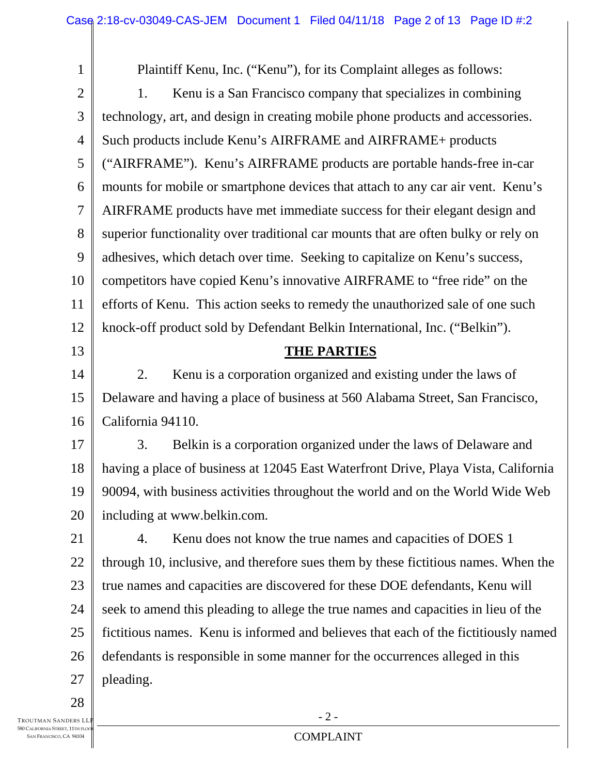| $\mathbf{1}$   | Plaintiff Kenu, Inc. ("Kenu"), for its Complaint alleges as follows:                |  |
|----------------|-------------------------------------------------------------------------------------|--|
| $\sqrt{2}$     | Kenu is a San Francisco company that specializes in combining<br>1.                 |  |
| 3              | technology, art, and design in creating mobile phone products and accessories.      |  |
| $\overline{4}$ | Such products include Kenu's AIRFRAME and AIRFRAME+ products                        |  |
| 5              | ("AIRFRAME"). Kenu's AIRFRAME products are portable hands-free in-car               |  |
| 6              | mounts for mobile or smartphone devices that attach to any car air vent. Kenu's     |  |
| 7              | AIRFRAME products have met immediate success for their elegant design and           |  |
| $8\,$          | superior functionality over traditional car mounts that are often bulky or rely on  |  |
| 9              | adhesives, which detach over time. Seeking to capitalize on Kenu's success,         |  |
| 10             | competitors have copied Kenu's innovative AIRFRAME to "free ride" on the            |  |
| 11             | efforts of Kenu. This action seeks to remedy the unauthorized sale of one such      |  |
| 12             | knock-off product sold by Defendant Belkin International, Inc. ("Belkin").          |  |
| 13             | <b>THE PARTIES</b>                                                                  |  |
| 14             | Kenu is a corporation organized and existing under the laws of<br>2.                |  |
| 15             | Delaware and having a place of business at 560 Alabama Street, San Francisco,       |  |
| 16             | California 94110.                                                                   |  |
| 17             | Belkin is a corporation organized under the laws of Delaware and<br>3.              |  |
| 18             | having a place of business at 12045 East Waterfront Drive, Playa Vista, California  |  |
| 19             | 90094, with business activities throughout the world and on the World Wide Web      |  |
| 20             | including at www.belkin.com.                                                        |  |
| 21             | Kenu does not know the true names and capacities of DOES 1<br>4.                    |  |
| 22             | through 10, inclusive, and therefore sues them by these fictitious names. When the  |  |
| 23             | true names and capacities are discovered for these DOE defendants, Kenu will        |  |
| 24             | seek to amend this pleading to allege the true names and capacities in lieu of the  |  |
| 25             | fictitious names. Kenu is informed and believes that each of the fictitiously named |  |
| 26             | defendants is responsible in some manner for the occurrences alleged in this        |  |
| 27             | pleading.                                                                           |  |
| 28             |                                                                                     |  |

TROUTMAN SANDERS LLP **580 CALIFORNIA STREET, 11TH FLOO** SAN FRANCISCO, CA 94104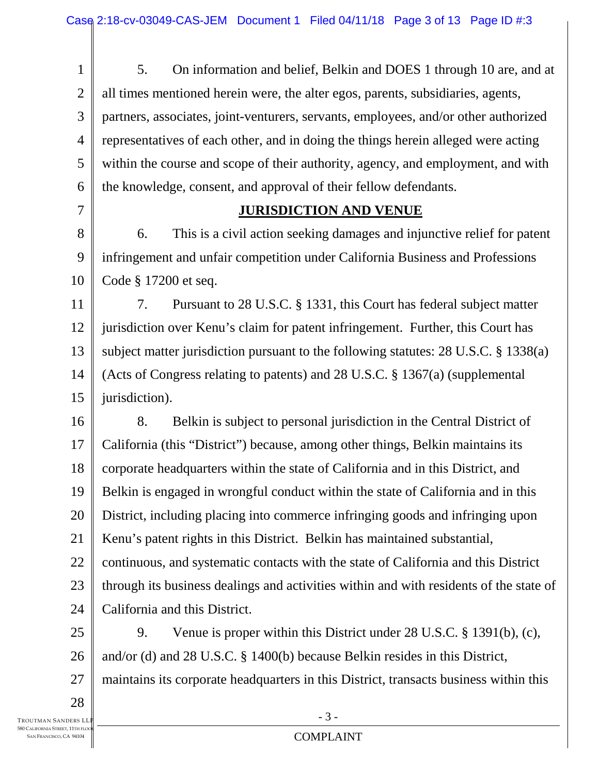1 2 3 4 5 6 7 8 9 10 11 12 13 14 15 16 17 18 19 20 21 22 23 24 25 26 27 5. On information and belief, Belkin and DOES 1 through 10 are, and at all times mentioned herein were, the alter egos, parents, subsidiaries, agents, partners, associates, joint-venturers, servants, employees, and/or other authorized representatives of each other, and in doing the things herein alleged were acting within the course and scope of their authority, agency, and employment, and with the knowledge, consent, and approval of their fellow defendants. **JURISDICTION AND VENUE**  6. This is a civil action seeking damages and injunctive relief for patent infringement and unfair competition under California Business and Professions Code § 17200 et seq. 7. Pursuant to 28 U.S.C. § 1331, this Court has federal subject matter jurisdiction over Kenu's claim for patent infringement. Further, this Court has subject matter jurisdiction pursuant to the following statutes: 28 U.S.C. § 1338(a) (Acts of Congress relating to patents) and 28 U.S.C. § 1367(a) (supplemental jurisdiction). 8. Belkin is subject to personal jurisdiction in the Central District of California (this "District") because, among other things, Belkin maintains its corporate headquarters within the state of California and in this District, and Belkin is engaged in wrongful conduct within the state of California and in this District, including placing into commerce infringing goods and infringing upon Kenu's patent rights in this District. Belkin has maintained substantial, continuous, and systematic contacts with the state of California and this District through its business dealings and activities within and with residents of the state of California and this District. 9. Venue is proper within this District under 28 U.S.C. § 1391(b), (c), and/or (d) and 28 U.S.C. § 1400(b) because Belkin resides in this District, maintains its corporate headquarters in this District, transacts business within this

TROUTMAN SANDERS LL 28

- 3 -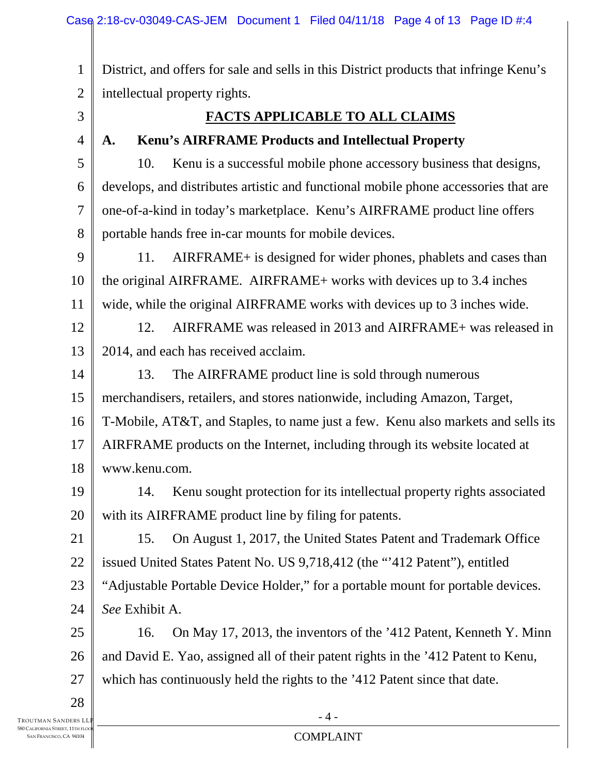1 2 District, and offers for sale and sells in this District products that infringe Kenu's intellectual property rights.

- 3
- 4

7

## **FACTS APPLICABLE TO ALL CLAIMS**

## **A. Kenu's AIRFRAME Products and Intellectual Property**

5 6 8 10. Kenu is a successful mobile phone accessory business that designs, develops, and distributes artistic and functional mobile phone accessories that are one-of-a-kind in today's marketplace. Kenu's AIRFRAME product line offers portable hands free in-car mounts for mobile devices.

9 10 11 11. AIRFRAME+ is designed for wider phones, phablets and cases than the original AIRFRAME. AIRFRAME+ works with devices up to 3.4 inches wide, while the original AIRFRAME works with devices up to 3 inches wide.

12 13 12. AIRFRAME was released in 2013 and AIRFRAME+ was released in 2014, and each has received acclaim.

14 15 16 17 18 13. The AIRFRAME product line is sold through numerous merchandisers, retailers, and stores nationwide, including Amazon, Target, T-Mobile, AT&T, and Staples, to name just a few. Kenu also markets and sells its AIRFRAME products on the Internet, including through its website located at www.kenu.com.

19 20 14. Kenu sought protection for its intellectual property rights associated with its AIRFRAME product line by filing for patents.

21 22 23 24 15. On August 1, 2017, the United States Patent and Trademark Office issued United States Patent No. US 9,718,412 (the "'412 Patent"), entitled "Adjustable Portable Device Holder," for a portable mount for portable devices. *See* Exhibit A.

25 26 27 16. On May 17, 2013, the inventors of the '412 Patent, Kenneth Y. Minn and David E. Yao, assigned all of their patent rights in the '412 Patent to Kenu, which has continuously held the rights to the '412 Patent since that date.

28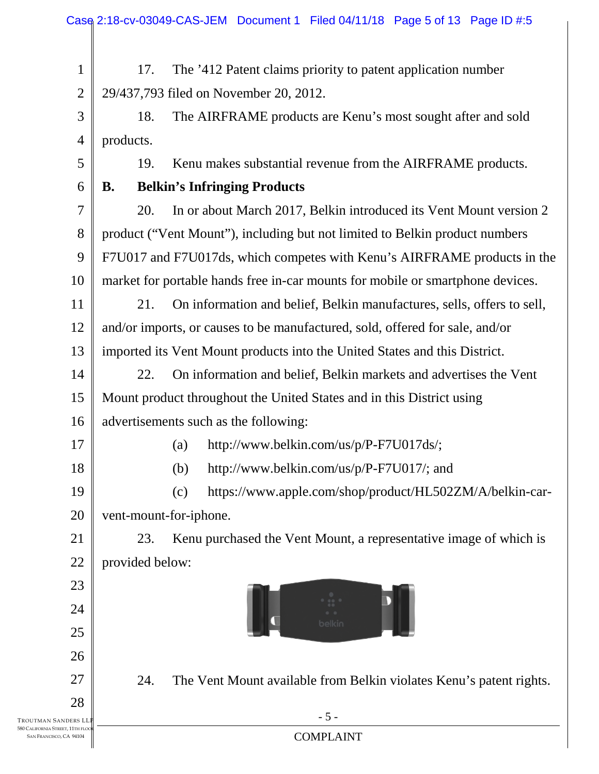|                                                            | Case 2:18-cv-03049-CAS-JEM Document 1 Filed 04/11/18 Page 5 of 13 Page ID #:5  |
|------------------------------------------------------------|--------------------------------------------------------------------------------|
| 1                                                          | The '412 Patent claims priority to patent application number<br>17.            |
| $\overline{2}$                                             | 29/437,793 filed on November 20, 2012.                                         |
| 3                                                          | The AIRFRAME products are Kenu's most sought after and sold<br>18.             |
| $\overline{4}$                                             | products.                                                                      |
| 5                                                          | Kenu makes substantial revenue from the AIRFRAME products.<br>19.              |
| 6                                                          | <b>Belkin's Infringing Products</b><br><b>B.</b>                               |
| $\overline{7}$                                             | In or about March 2017, Belkin introduced its Vent Mount version 2<br>20.      |
| 8                                                          | product ("Vent Mount"), including but not limited to Belkin product numbers    |
| 9                                                          | F7U017 and F7U017ds, which competes with Kenu's AIRFRAME products in the       |
| 10                                                         | market for portable hands free in-car mounts for mobile or smartphone devices. |
| 11                                                         | On information and belief, Belkin manufactures, sells, offers to sell,<br>21.  |
| 12                                                         | and/or imports, or causes to be manufactured, sold, offered for sale, and/or   |
| 13                                                         | imported its Vent Mount products into the United States and this District.     |
| 14                                                         | On information and belief, Belkin markets and advertises the Vent<br>22.       |
| 15                                                         | Mount product throughout the United States and in this District using          |
| 16                                                         | advertisements such as the following:                                          |
| 17                                                         | http://www.belkin.com/us/p/P-F7U017ds/;<br>(a)                                 |
| 18                                                         | http://www.belkin.com/us/p/P-F7U017/; and<br>(b)                               |
| 19                                                         | https://www.apple.com/shop/product/HL502ZM/A/belkin-car-<br>(c)                |
| 20                                                         | vent-mount-for-iphone.                                                         |
| 21                                                         | 23.<br>Kenu purchased the Vent Mount, a representative image of which is       |
| 22                                                         | provided below:                                                                |
| 23                                                         |                                                                                |
| 24                                                         |                                                                                |
| 25                                                         |                                                                                |
| 26                                                         |                                                                                |
| 27                                                         | 24.<br>The Vent Mount available from Belkin violates Kenu's patent rights.     |
| 28<br>TROUTMAN SANDERS LI                                  | $-5-$                                                                          |
| 580 CALIFORNIA STREET, 11TH FLO<br>SAN FRANCISCO, CA 94104 | <b>COMPLAINT</b>                                                               |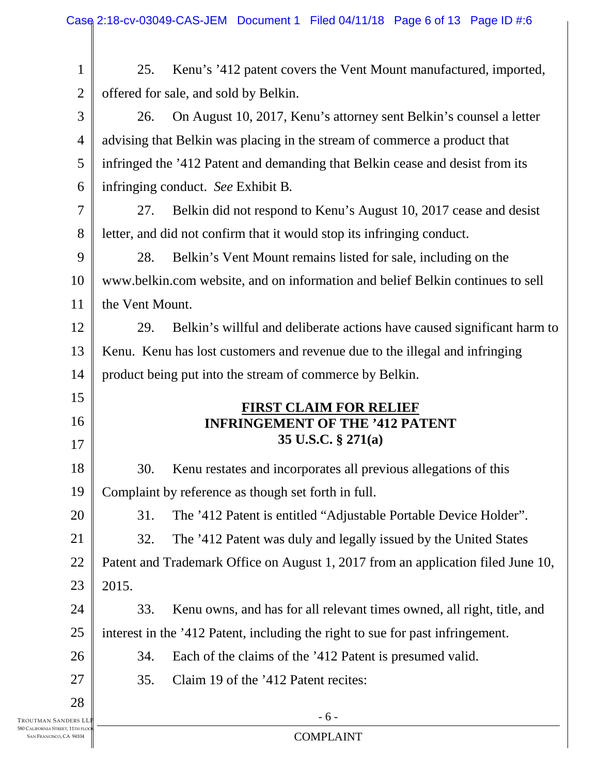|                     | Case 2:18-cv-03049-CAS-JEM Document 1 Filed 04/11/18 Page 6 of 13 Page ID #:6    |
|---------------------|----------------------------------------------------------------------------------|
|                     |                                                                                  |
| $\mathbf 1$         | Kenu's '412 patent covers the Vent Mount manufactured, imported,<br>25.          |
| $\overline{2}$      | offered for sale, and sold by Belkin.                                            |
| 3                   | On August 10, 2017, Kenu's attorney sent Belkin's counsel a letter<br>26.        |
| $\overline{4}$      | advising that Belkin was placing in the stream of commerce a product that        |
| 5                   | infringed the '412 Patent and demanding that Belkin cease and desist from its    |
| 6                   | infringing conduct. See Exhibit B.                                               |
| 7                   | Belkin did not respond to Kenu's August 10, 2017 cease and desist<br>27.         |
| 8                   | letter, and did not confirm that it would stop its infringing conduct.           |
| 9                   | 28.<br>Belkin's Vent Mount remains listed for sale, including on the             |
| 10                  | www.belkin.com website, and on information and belief Belkin continues to sell   |
| 11                  | the Vent Mount.                                                                  |
| 12                  | Belkin's willful and deliberate actions have caused significant harm to<br>29.   |
| 13                  | Kenu. Kenu has lost customers and revenue due to the illegal and infringing      |
| 14                  | product being put into the stream of commerce by Belkin.                         |
| 15                  | <b>FIRST CLAIM FOR RELIEF</b>                                                    |
| 16                  | <b>INFRINGEMENT OF THE '412 PATENT</b>                                           |
| 17                  | 35 U.S.C. § 271(a)                                                               |
| 18                  | Kenu restates and incorporates all previous allegations of this<br>30.           |
| 19                  | Complaint by reference as though set forth in full.                              |
| 20                  | The '412 Patent is entitled "Adjustable Portable Device Holder".<br>31.          |
| 21                  | The '412 Patent was duly and legally issued by the United States<br>32.          |
| 22                  | Patent and Trademark Office on August 1, 2017 from an application filed June 10, |
| 23                  | 2015.                                                                            |
| 24                  | 33.<br>Kenu owns, and has for all relevant times owned, all right, title, and    |
| 25                  | interest in the '412 Patent, including the right to sue for past infringement.   |
| 26                  | Each of the claims of the '412 Patent is presumed valid.<br>34.                  |
| 27                  | Claim 19 of the '412 Patent recites:<br>35.                                      |
| 28                  |                                                                                  |
| Troutman Sanders LI | $-6-$                                                                            |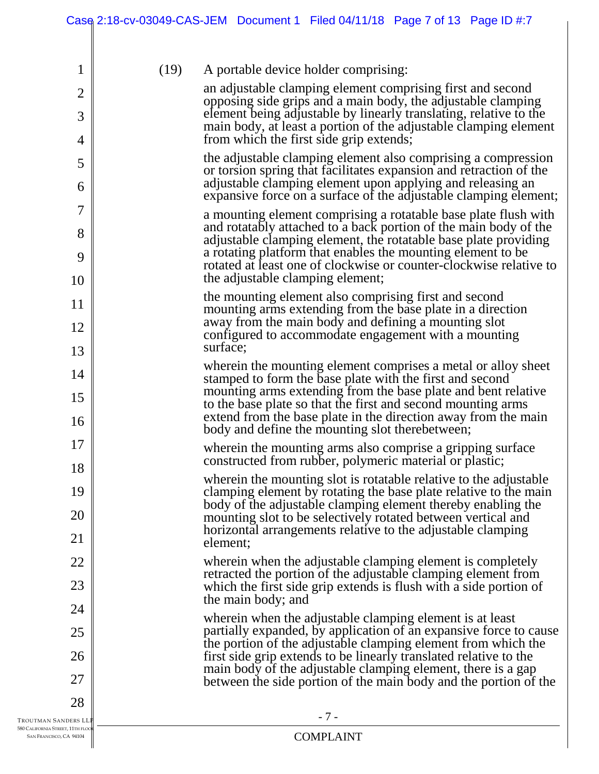|                     |      | Case 2:18-cv-03049-CAS-JEM Document 1 Filed 04/11/18 Page 7 of 13 Page ID #:7                                                                                                                          |
|---------------------|------|--------------------------------------------------------------------------------------------------------------------------------------------------------------------------------------------------------|
|                     |      |                                                                                                                                                                                                        |
| 1                   | (19) | A portable device holder comprising:<br>an adjustable clamping element comprising first and second                                                                                                     |
| $\overline{2}$      |      | opposing side grips and a main body, the adjustable clamping                                                                                                                                           |
| 3<br>$\overline{4}$ |      | element being adjustable by linearly translating, relative to the<br>main body, at least a portion of the adjustable clamping element<br>from which the first side grip extends;                       |
|                     |      | the adjustable clamping element also comprising a compression                                                                                                                                          |
| 5<br>6              |      | or torsion spring that facilitates expansion and retraction of the<br>adjustable clamping element upon applying and releasing an                                                                       |
|                     |      | expansive force on a surface of the adjustable clamping element;                                                                                                                                       |
| $\overline{7}$<br>8 |      | a mounting element comprising a rotatable base plate flush with<br>and rotatably attached to a back portion of the main body of the<br>adjustable clamping element, the rotatable base plate providing |
| 9                   |      | a rotating platform that enables the mounting element to be<br>rotated at least one of clockwise or counter-clockwise relative to                                                                      |
| 10                  |      | the adjustable clamping element;<br>the mounting element also comprising first and second                                                                                                              |
| 11                  |      | mounting arms extending from the base plate in a direction                                                                                                                                             |
| 12                  |      | away from the main body and defining a mounting slot<br>configured to accommodate engagement with a mounting<br>surface;                                                                               |
| 13                  |      | wherein the mounting element comprises a metal or alloy sheet                                                                                                                                          |
| 14<br>15            |      | stamped to form the base plate with the first and second<br>mounting arms extending from the base plate and bent relative<br>to the base plate so that the first and second mounting arms              |
| 16                  |      | extend from the base plate in the direction away from the main<br>body and define the mounting slot therebetween;                                                                                      |
| 17<br>18            |      | wherein the mounting arms also comprise a gripping surface<br>constructed from rubber, polymeric material or plastic;                                                                                  |
| 19                  |      | wherein the mounting slot is rotatable relative to the adjustable<br>clamping element by rotating the base plate relative to the main                                                                  |
| 20                  |      | body of the adjustable clamping element thereby enabling the<br>mounting slot to be selectively rotated between vertical and                                                                           |
| 21                  |      | horizontal arrangements relative to the adjustable clamping<br>element;                                                                                                                                |
| 22                  |      | wherein when the adjustable clamping element is completely                                                                                                                                             |
| 23                  |      | retracted the portion of the adjustable clamping element from<br>which the first side grip extends is flush with a side portion of<br>the main body; and                                               |
| 24                  |      | wherein when the adjustable clamping element is at least                                                                                                                                               |
| 25                  |      | partially expanded, by application of an expansive force to cause<br>the portion of the adjustable clamping element from which the                                                                     |
| 26                  |      | first side grip extends to be linearly translated relative to the<br>main body of the adjustable clamping element, there is a gap                                                                      |
| 27                  |      | between the side portion of the main body and the portion of the                                                                                                                                       |
| 28                  |      | $-7-$                                                                                                                                                                                                  |
| TREET, 11TH FLOC    |      | $CONADI$ a INIT                                                                                                                                                                                        |

TROUTMAN S.<br>580 CALIFORNIA ST 580 CALIFORNIA STREET, 11TH FLOOR SAN FRANCISCO, CA 94104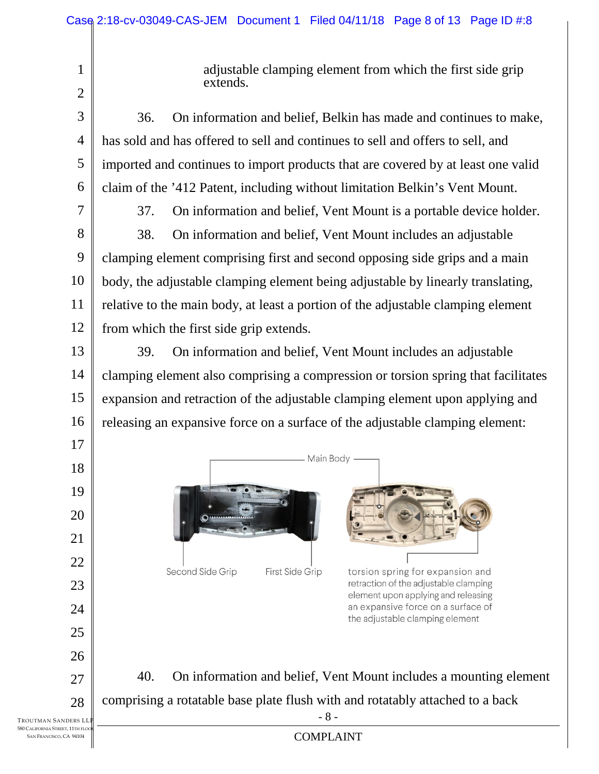adjustable clamping element from which the first side grip extends.

- 3 4 5 6 36. On information and belief, Belkin has made and continues to make, has sold and has offered to sell and continues to sell and offers to sell, and imported and continues to import products that are covered by at least one valid claim of the '412 Patent, including without limitation Belkin's Vent Mount.
- 7

17

18

19

20

21

22

23

24

25

26

27

28

1

2

37. On information and belief, Vent Mount is a portable device holder.

8 9 10 11 12 38. On information and belief, Vent Mount includes an adjustable clamping element comprising first and second opposing side grips and a main body, the adjustable clamping element being adjustable by linearly translating, relative to the main body, at least a portion of the adjustable clamping element from which the first side grip extends.

13 14 15 16 39. On information and belief, Vent Mount includes an adjustable clamping element also comprising a compression or torsion spring that facilitates expansion and retraction of the adjustable clamping element upon applying and releasing an expansive force on a surface of the adjustable clamping element:



- 8 - 40. On information and belief, Vent Mount includes a mounting element comprising a rotatable base plate flush with and rotatably attached to a back

an expansive force on a surface of the adjustable clamping element

COMPLAINT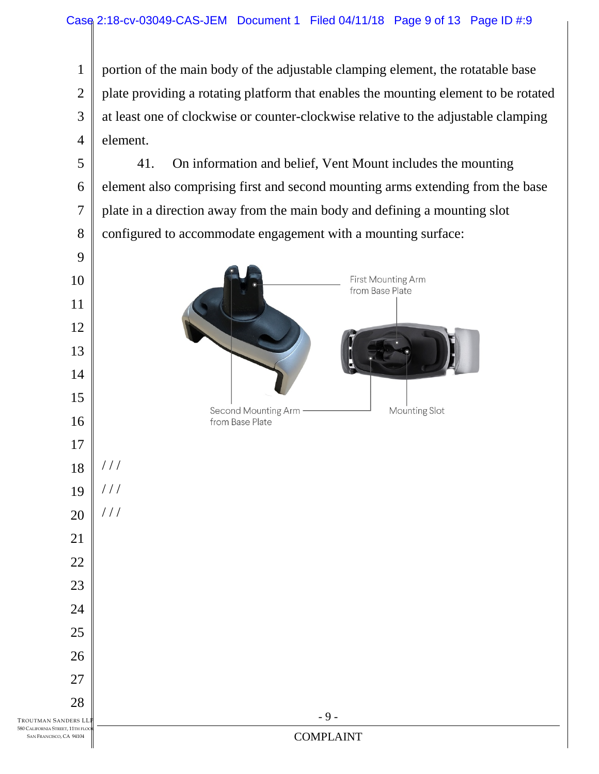portion of the main body of the adjustable clamping element, the rotatable base plate providing a rotating platform that enables the mounting element to be rotated at least one of clockwise or counter-clockwise relative to the adjustable clamping element.

 41. On information and belief, Vent Mount includes the mounting element also comprising first and second mounting arms extending from the base plate in a direction away from the main body and defining a mounting slot configured to accommodate engagement with a mounting surface:

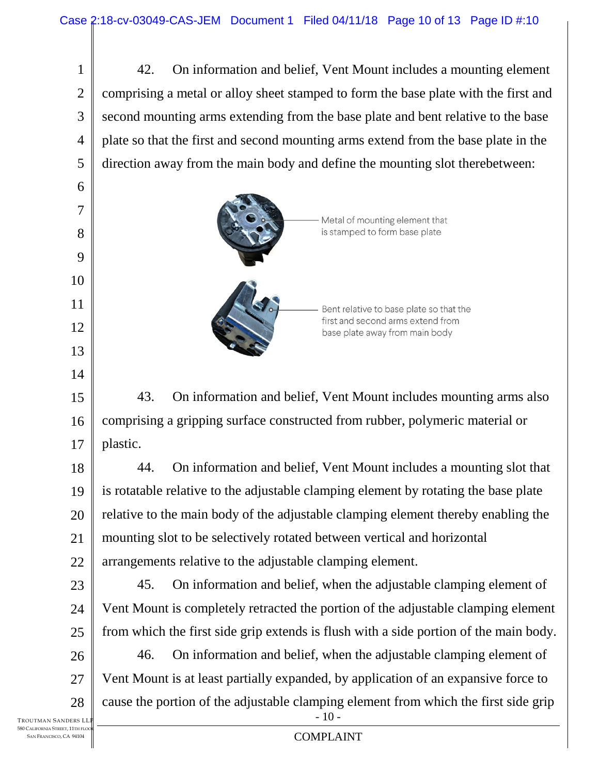1 2 3 4 5 42. On information and belief, Vent Mount includes a mounting element comprising a metal or alloy sheet stamped to form the base plate with the first and second mounting arms extending from the base plate and bent relative to the base plate so that the first and second mounting arms extend from the base plate in the direction away from the main body and define the mounting slot therebetween:



15 16 17 43. On information and belief, Vent Mount includes mounting arms also comprising a gripping surface constructed from rubber, polymeric material or plastic.

18 19 20 21 22 44. On information and belief, Vent Mount includes a mounting slot that is rotatable relative to the adjustable clamping element by rotating the base plate relative to the main body of the adjustable clamping element thereby enabling the mounting slot to be selectively rotated between vertical and horizontal arrangements relative to the adjustable clamping element.

23 24 25 45. On information and belief, when the adjustable clamping element of Vent Mount is completely retracted the portion of the adjustable clamping element from which the first side grip extends is flush with a side portion of the main body.

26 27 28  $-10-$ 46. On information and belief, when the adjustable clamping element of Vent Mount is at least partially expanded, by application of an expansive force to cause the portion of the adjustable clamping element from which the first side grip

6

7

8

9

10

11

12

13

14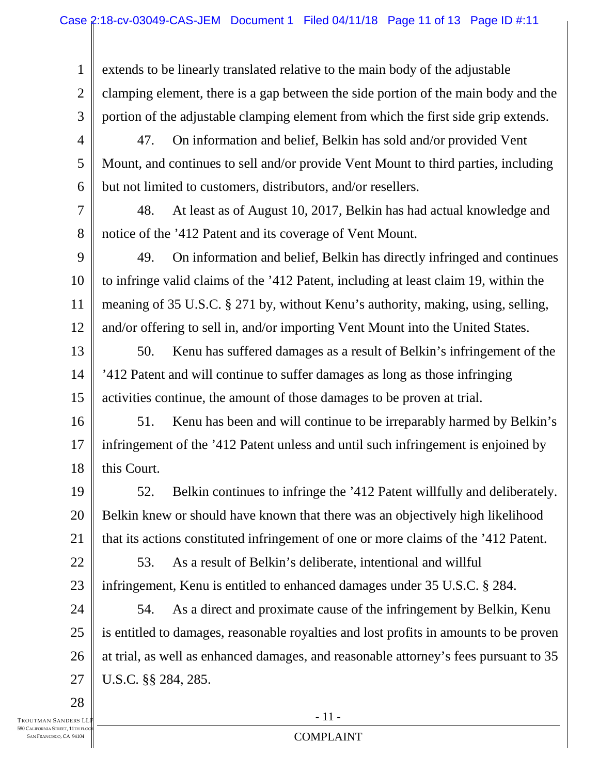1 2 3 extends to be linearly translated relative to the main body of the adjustable clamping element, there is a gap between the side portion of the main body and the portion of the adjustable clamping element from which the first side grip extends.

4 5 6 47. On information and belief, Belkin has sold and/or provided Vent Mount, and continues to sell and/or provide Vent Mount to third parties, including but not limited to customers, distributors, and/or resellers.

7 8 48. At least as of August 10, 2017, Belkin has had actual knowledge and notice of the '412 Patent and its coverage of Vent Mount.

9 10 11 12 49. On information and belief, Belkin has directly infringed and continues to infringe valid claims of the '412 Patent, including at least claim 19, within the meaning of 35 U.S.C. § 271 by, without Kenu's authority, making, using, selling, and/or offering to sell in, and/or importing Vent Mount into the United States.

13 14 15 50. Kenu has suffered damages as a result of Belkin's infringement of the '412 Patent and will continue to suffer damages as long as those infringing activities continue, the amount of those damages to be proven at trial.

16 17 18 51. Kenu has been and will continue to be irreparably harmed by Belkin's infringement of the '412 Patent unless and until such infringement is enjoined by this Court.

19 20 21 52. Belkin continues to infringe the '412 Patent willfully and deliberately. Belkin knew or should have known that there was an objectively high likelihood that its actions constituted infringement of one or more claims of the '412 Patent.

22 23 53. As a result of Belkin's deliberate, intentional and willful infringement, Kenu is entitled to enhanced damages under 35 U.S.C. § 284.

24 25 26 27 54. As a direct and proximate cause of the infringement by Belkin, Kenu is entitled to damages, reasonable royalties and lost profits in amounts to be proven at trial, as well as enhanced damages, and reasonable attorney's fees pursuant to 35 U.S.C. §§ 284, 285.

TROUTMAN SANDERS LL **580 CALIFORNIA STREET, 11TH FLOC** SAN FRANCISCO, CA 94104

28

COMPLAINT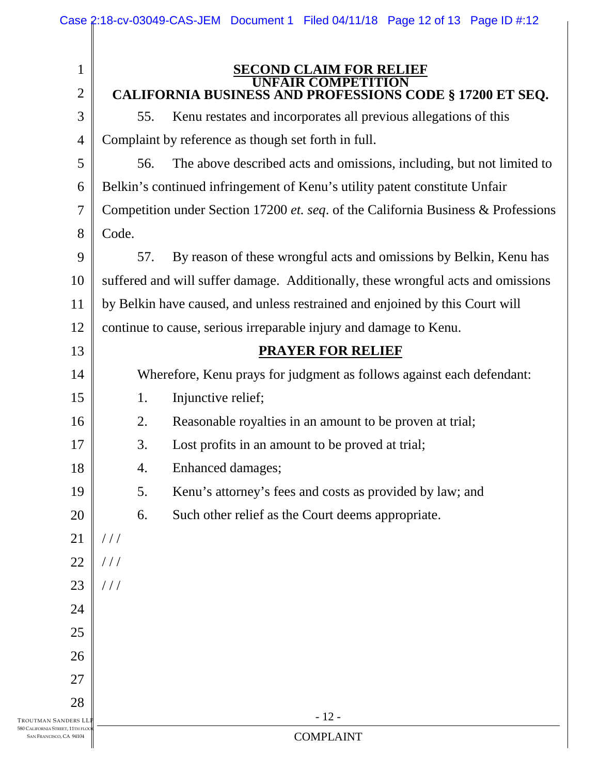|                                   | Case 2:18-cv-03049-CAS-JEM Document 1 Filed 04/11/18 Page 12 of 13 Page ID #:12   |
|-----------------------------------|-----------------------------------------------------------------------------------|
| $\mathbf{1}$                      | <b>SECOND CLAIM FOR RELIEF</b><br>FAIR COMPETITION                                |
| $\mathbf{2}$                      | <b>CALIFORNIA BUSINESS AND PROFESSIONS CODE § 17200 ET SEQ.</b>                   |
| 3                                 | Kenu restates and incorporates all previous allegations of this<br>55.            |
| $\overline{4}$                    | Complaint by reference as though set forth in full.                               |
| 5                                 | The above described acts and omissions, including, but not limited to<br>56.      |
| 6                                 | Belkin's continued infringement of Kenu's utility patent constitute Unfair        |
| $\overline{7}$                    | Competition under Section 17200 et. seq. of the California Business & Professions |
| $8\,$                             | Code.                                                                             |
| 9                                 | By reason of these wrongful acts and omissions by Belkin, Kenu has<br>57.         |
| 10                                | suffered and will suffer damage. Additionally, these wrongful acts and omissions  |
| 11                                | by Belkin have caused, and unless restrained and enjoined by this Court will      |
| 12                                | continue to cause, serious irreparable injury and damage to Kenu.                 |
| 13                                | <b>PRAYER FOR RELIEF</b>                                                          |
| 14                                | Wherefore, Kenu prays for judgment as follows against each defendant:             |
| 15                                | Injunctive relief;<br>1.                                                          |
| 16                                | Reasonable royalties in an amount to be proven at trial;<br>2.                    |
| 17                                | Lost profits in an amount to be proved at trial;<br>3.                            |
| 18                                | Enhanced damages;<br>4.                                                           |
| 19                                | 5.<br>Kenu's attorney's fees and costs as provided by law; and                    |
| 20                                | Such other relief as the Court deems appropriate.<br>6.                           |
| 21                                | //                                                                                |
| 22                                | //                                                                                |
| 23                                | //                                                                                |
| 24                                |                                                                                   |
| 25                                |                                                                                   |
| 26                                |                                                                                   |
| 27                                |                                                                                   |
| 28                                |                                                                                   |
| i Sanders LL<br>STREET, 11TH FLOG | $-12-$                                                                            |

TROUTMAN<br>580 California 580 CALIFORNIA STREET, 11TH FLOOR SAN FRANCISCO, CA 94104

COMPLAINT